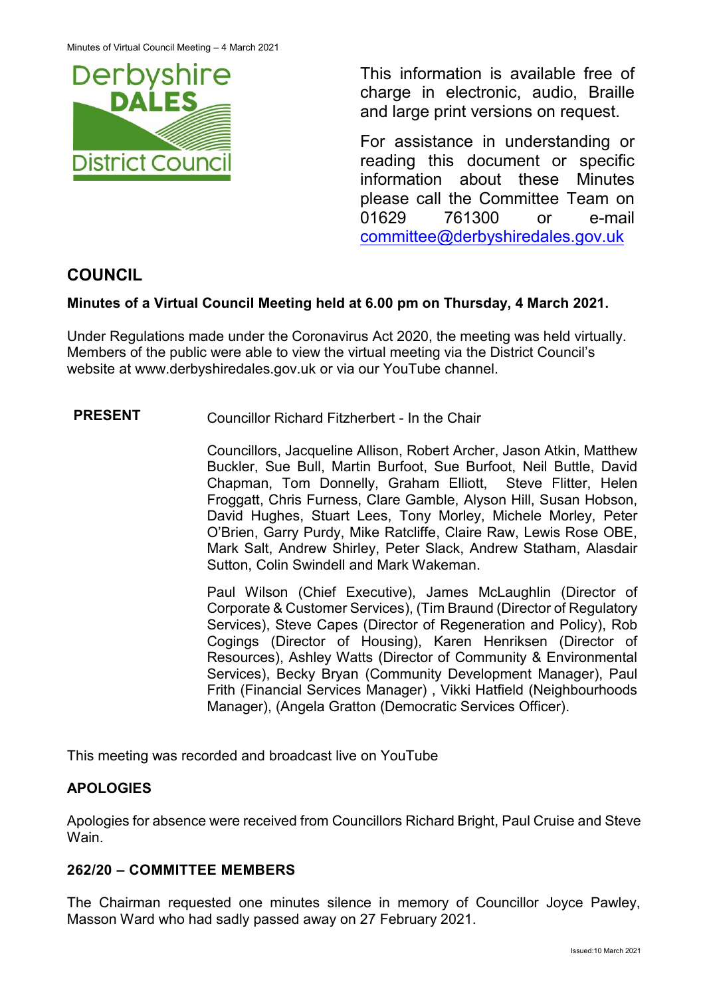

This information is available free of charge in electronic, audio, Braille and large print versions on request.

For assistance in understanding or reading this document or specific information about these Minutes please call the Committee Team on 01629 761300 or e-mail [committee@derbyshiredales.gov.uk](mailto:brian.evans@derbyshiredales.gov.uk) 

# **COUNCIL**

# **Minutes of a Virtual Council Meeting held at 6.00 pm on Thursday, 4 March 2021.**

Under Regulations made under the Coronavirus Act 2020, the meeting was held virtually. Members of the public were able to view the virtual meeting via the District Council's website at [www.derbyshiredales.gov.uk](http://www.derbyshiredales.gov.uk/) or via our YouTube channel.

# **PRESENT** Councillor Richard Fitzherbert - In the Chair

Councillors, Jacqueline Allison, Robert Archer, Jason Atkin, Matthew Buckler, Sue Bull, Martin Burfoot, Sue Burfoot, Neil Buttle, David Chapman, Tom Donnelly, Graham Elliott, Steve Flitter, Helen Froggatt, Chris Furness, Clare Gamble, Alyson Hill, Susan Hobson, David Hughes, Stuart Lees, Tony Morley, Michele Morley, Peter O'Brien, Garry Purdy, Mike Ratcliffe, Claire Raw, Lewis Rose OBE, Mark Salt, Andrew Shirley, Peter Slack, Andrew Statham, Alasdair Sutton, Colin Swindell and Mark Wakeman.

Paul Wilson (Chief Executive), James McLaughlin (Director of Corporate & Customer Services), (Tim Braund (Director of Regulatory Services), Steve Capes (Director of Regeneration and Policy), Rob Cogings (Director of Housing), Karen Henriksen (Director of Resources), Ashley Watts (Director of Community & Environmental Services), Becky Bryan (Community Development Manager), Paul Frith (Financial Services Manager) , Vikki Hatfield (Neighbourhoods Manager), (Angela Gratton (Democratic Services Officer).

This meeting was recorded and broadcast live on YouTube

# **APOLOGIES**

Apologies for absence were received from Councillors Richard Bright, Paul Cruise and Steve Wain.

### **262/20 – COMMITTEE MEMBERS**

The Chairman requested one minutes silence in memory of Councillor Joyce Pawley, Masson Ward who had sadly passed away on 27 February 2021.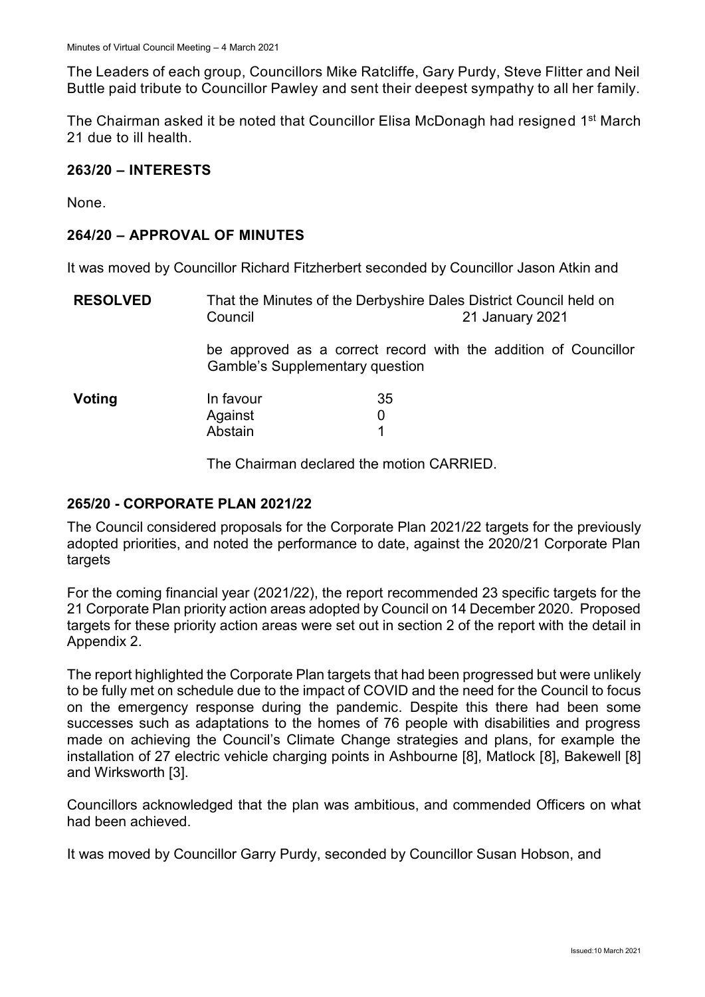The Leaders of each group, Councillors Mike Ratcliffe, Gary Purdy, Steve Flitter and Neil Buttle paid tribute to Councillor Pawley and sent their deepest sympathy to all her family.

The Chairman asked it be noted that Councillor Elisa McDonagh had resigned 1<sup>st</sup> March 21 due to ill health.

#### **263/20 – INTERESTS**

None.

## **264/20 – APPROVAL OF MINUTES**

It was moved by Councillor Richard Fitzherbert seconded by Councillor Jason Atkin and

| <b>RESOLVED</b> | That the Minutes of the Derbyshire Dales District Council held on<br>21 January 2021<br>Council |                                                                 |  |
|-----------------|-------------------------------------------------------------------------------------------------|-----------------------------------------------------------------|--|
|                 | <b>Gamble's Supplementary question</b>                                                          | be approved as a correct record with the addition of Councillor |  |
| Voting          | In favour<br>Against<br>Abstain                                                                 | 35<br>0                                                         |  |

The Chairman declared the motion CARRIED.

#### **265/20 - CORPORATE PLAN 2021/22**

The Council considered proposals for the Corporate Plan 2021/22 targets for the previously adopted priorities, and noted the performance to date, against the 2020/21 Corporate Plan targets

For the coming financial year (2021/22), the report recommended 23 specific targets for the 21 Corporate Plan priority action areas adopted by Council on 14 December 2020. Proposed targets for these priority action areas were set out in section 2 of the report with the detail in Appendix 2.

The report highlighted the Corporate Plan targets that had been progressed but were unlikely to be fully met on schedule due to the impact of COVID and the need for the Council to focus on the emergency response during the pandemic. Despite this there had been some successes such as adaptations to the homes of 76 people with disabilities and progress made on achieving the Council's Climate Change strategies and plans, for example the installation of 27 electric vehicle charging points in Ashbourne [8], Matlock [8], Bakewell [8] and Wirksworth [3].

Councillors acknowledged that the plan was ambitious, and commended Officers on what had been achieved.

It was moved by Councillor Garry Purdy, seconded by Councillor Susan Hobson, and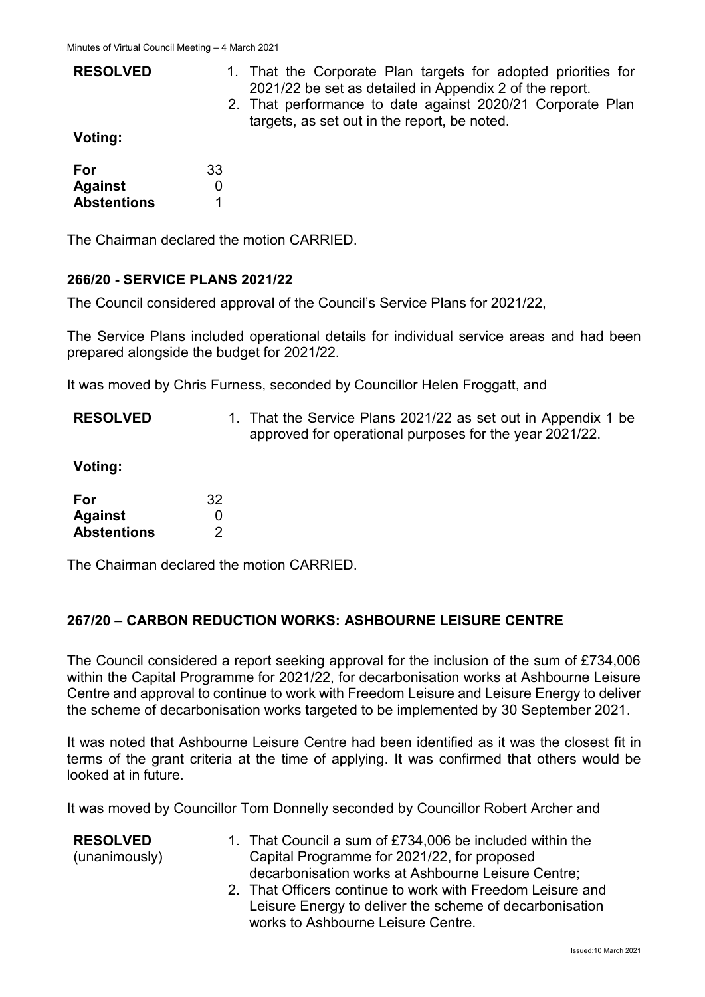| <b>RESOLVED</b>    |    | 1. That the Corporate Plan targets for adopted priorities for<br>2021/22 be set as detailed in Appendix 2 of the report. |
|--------------------|----|--------------------------------------------------------------------------------------------------------------------------|
|                    |    | 2. That performance to date against 2020/21 Corporate Plan<br>targets, as set out in the report, be noted.               |
| Voting:            |    |                                                                                                                          |
| For                | 33 |                                                                                                                          |
| <b>Against</b>     |    |                                                                                                                          |
| <b>Abstentions</b> |    |                                                                                                                          |

The Chairman declared the motion CARRIED.

#### **266/20 - SERVICE PLANS 2021/22**

The Council considered approval of the Council's Service Plans for 2021/22,

The Service Plans included operational details for individual service areas and had been prepared alongside the budget for 2021/22.

It was moved by Chris Furness, seconded by Councillor Helen Froggatt, and

| <b>RESOLVED</b> | 1. That the Service Plans 2021/22 as set out in Appendix 1 be |
|-----------------|---------------------------------------------------------------|
|                 | approved for operational purposes for the year 2021/22.       |

**Voting:**

| For                | 32 |
|--------------------|----|
| <b>Against</b>     | 0  |
| <b>Abstentions</b> |    |

The Chairman declared the motion CARRIED.

#### **267/20** – **CARBON REDUCTION WORKS: ASHBOURNE LEISURE CENTRE**

The Council considered a report seeking approval for the inclusion of the sum of £734,006 within the Capital Programme for 2021/22, for decarbonisation works at Ashbourne Leisure Centre and approval to continue to work with Freedom Leisure and Leisure Energy to deliver the scheme of decarbonisation works targeted to be implemented by 30 September 2021.

It was noted that Ashbourne Leisure Centre had been identified as it was the closest fit in terms of the grant criteria at the time of applying. It was confirmed that others would be looked at in future.

It was moved by Councillor Tom Donnelly seconded by Councillor Robert Archer and

| <b>RESOLVED</b> | 1. That Council a sum of £734,006 be included within the   |
|-----------------|------------------------------------------------------------|
| (unanimously)   | Capital Programme for 2021/22, for proposed                |
|                 | decarbonisation works at Ashbourne Leisure Centre;         |
|                 | 2. That Officers continue to work with Freedom Leisure and |
|                 | Leisure Energy to deliver the scheme of decarbonisation    |
|                 | works to Ashbourne Leisure Centre.                         |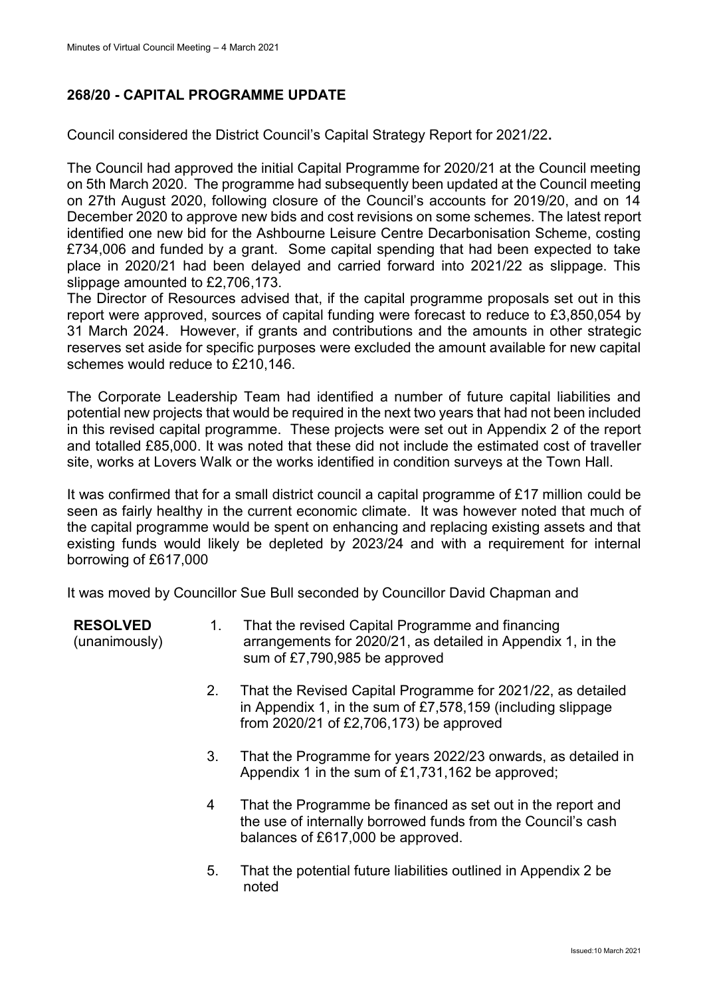# **268/20 - CAPITAL PROGRAMME UPDATE**

Council considered the District Council's Capital Strategy Report for 2021/22**.**

The Council had approved the initial Capital Programme for 2020/21 at the Council meeting on 5th March 2020. The programme had subsequently been updated at the Council meeting on 27th August 2020, following closure of the Council's accounts for 2019/20, and on 14 December 2020 to approve new bids and cost revisions on some schemes. The latest report identified one new bid for the Ashbourne Leisure Centre Decarbonisation Scheme, costing £734,006 and funded by a grant. Some capital spending that had been expected to take place in 2020/21 had been delayed and carried forward into 2021/22 as slippage. This slippage amounted to £2,706,173.

The Director of Resources advised that, if the capital programme proposals set out in this report were approved, sources of capital funding were forecast to reduce to £3,850,054 by 31 March 2024. However, if grants and contributions and the amounts in other strategic reserves set aside for specific purposes were excluded the amount available for new capital schemes would reduce to £210,146.

The Corporate Leadership Team had identified a number of future capital liabilities and potential new projects that would be required in the next two years that had not been included in this revised capital programme. These projects were set out in Appendix 2 of the report and totalled £85,000. It was noted that these did not include the estimated cost of traveller site, works at Lovers Walk or the works identified in condition surveys at the Town Hall.

It was confirmed that for a small district council a capital programme of £17 million could be seen as fairly healthy in the current economic climate. It was however noted that much of the capital programme would be spent on enhancing and replacing existing assets and that existing funds would likely be depleted by 2023/24 and with a requirement for internal borrowing of £617,000

It was moved by Councillor Sue Bull seconded by Councillor David Chapman and

| <b>RESOLVED</b><br>(unanimously) | 1. | That the revised Capital Programme and financing<br>arrangements for 2020/21, as detailed in Appendix 1, in the<br>sum of £7,790,985 be approved                        |
|----------------------------------|----|-------------------------------------------------------------------------------------------------------------------------------------------------------------------------|
|                                  | 2. | That the Revised Capital Programme for 2021/22, as detailed<br>in Appendix 1, in the sum of $£7,578,159$ (including slippage<br>from 2020/21 of £2,706,173) be approved |
|                                  | 3. | That the Programme for years 2022/23 onwards, as detailed in<br>Appendix 1 in the sum of £1,731,162 be approved;                                                        |
|                                  | 4  | That the Programme be financed as set out in the report and<br>the use of internally borrowed funds from the Council's cash<br>balances of £617,000 be approved.        |

5. That the potential future liabilities outlined in Appendix 2 be noted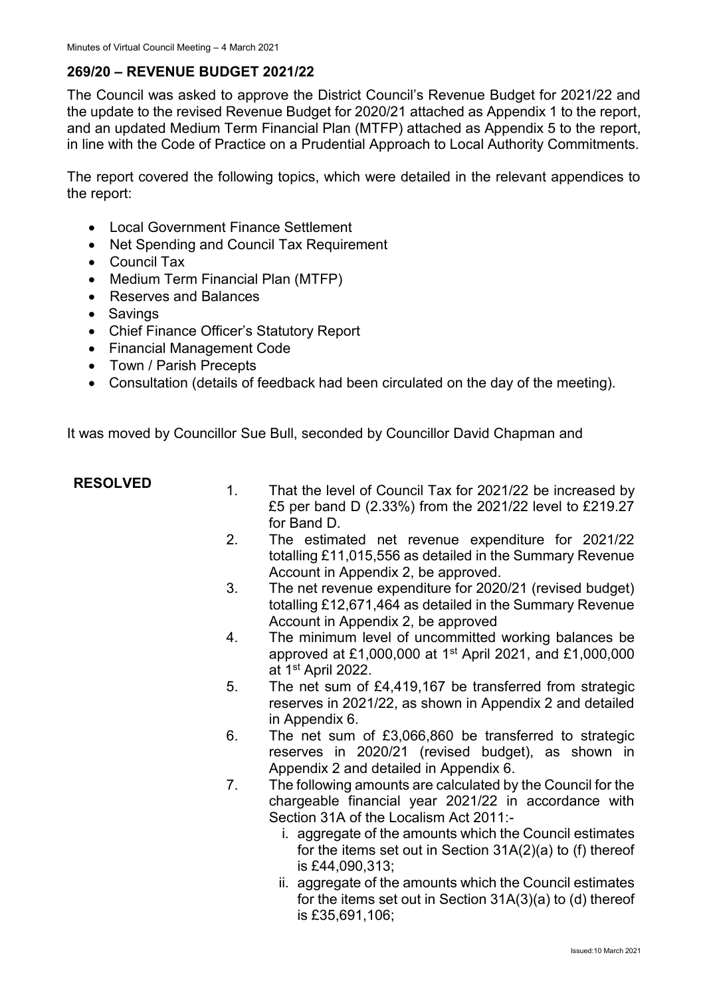# **269/20 – REVENUE BUDGET 2021/22**

The Council was asked to approve the District Council's Revenue Budget for 2021/22 and the update to the revised Revenue Budget for 2020/21 attached as Appendix 1 to the report, and an updated Medium Term Financial Plan (MTFP) attached as Appendix 5 to the report, in line with the Code of Practice on a Prudential Approach to Local Authority Commitments.

The report covered the following topics, which were detailed in the relevant appendices to the report:

- Local Government Finance Settlement
- Net Spending and Council Tax Requirement
- Council Tax
- Medium Term Financial Plan (MTFP)
- Reserves and Balances
- Savings
- Chief Finance Officer's Statutory Report
- Financial Management Code
- Town / Parish Precepts
- Consultation (details of feedback had been circulated on the day of the meeting).

It was moved by Councillor Sue Bull, seconded by Councillor David Chapman and

- **RESOLVED** 1. That the level of Council Tax for 2021/22 be increased by £5 per band D (2.33%) from the 2021/22 level to £219.27 for Band D.
	- 2. The estimated net revenue expenditure for 2021/22 totalling £11,015,556 as detailed in the Summary Revenue Account in Appendix 2, be approved.
	- 3. The net revenue expenditure for 2020/21 (revised budget) totalling £12,671,464 as detailed in the Summary Revenue Account in Appendix 2, be approved
	- 4. The minimum level of uncommitted working balances be approved at £1,000,000 at 1<sup>st</sup> April 2021, and £1,000,000 at 1st April 2022.
	- 5. The net sum of £4,419,167 be transferred from strategic reserves in 2021/22, as shown in Appendix 2 and detailed in Appendix 6.
	- 6. The net sum of £3,066,860 be transferred to strategic reserves in 2020/21 (revised budget), as shown in Appendix 2 and detailed in Appendix 6.
	- 7. The following amounts are calculated by the Council for the chargeable financial year 2021/22 in accordance with Section 31A of the Localism Act 2011:
		- i. aggregate of the amounts which the Council estimates for the items set out in Section 31A(2)(a) to (f) thereof is £44,090,313;
		- ii. aggregate of the amounts which the Council estimates for the items set out in Section 31A(3)(a) to (d) thereof is £35,691,106;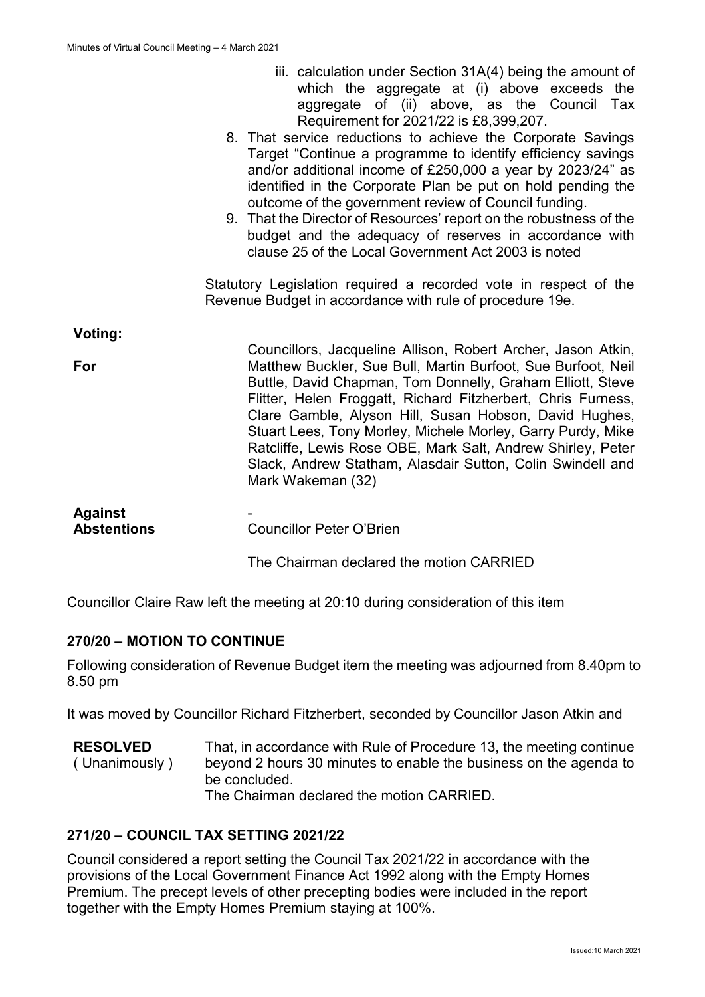- iii. calculation under Section 31A(4) being the amount of which the aggregate at (i) above exceeds the aggregate of (ii) above, as the Council Tax Requirement for 2021/22 is £8,399,207.
- 8. That service reductions to achieve the Corporate Savings Target "Continue a programme to identify efficiency savings and/or additional income of £250,000 a year by 2023/24" as identified in the Corporate Plan be put on hold pending the outcome of the government review of Council funding.
- 9. That the Director of Resources' report on the robustness of the budget and the adequacy of reserves in accordance with clause 25 of the Local Government Act 2003 is noted

Statutory Legislation required a recorded vote in respect of the Revenue Budget in accordance with rule of procedure 19e.

| Votina |
|--------|
|--------|

**For Against** Councillors, Jacqueline Allison, Robert Archer, Jason Atkin, Matthew Buckler, Sue Bull, Martin Burfoot, Sue Burfoot, Neil Buttle, David Chapman, Tom Donnelly, Graham Elliott, Steve Flitter, Helen Froggatt, Richard Fitzherbert, Chris Furness, Clare Gamble, Alyson Hill, Susan Hobson, David Hughes, Stuart Lees, Tony Morley, Michele Morley, Garry Purdy, Mike Ratcliffe, Lewis Rose OBE, Mark Salt, Andrew Shirley, Peter Slack, Andrew Statham, Alasdair Sutton, Colin Swindell and Mark Wakeman (32)

**Abstentions** - Councillor Peter O'Brien

The Chairman declared the motion CARRIED

Councillor Claire Raw left the meeting at 20:10 during consideration of this item

# **270/20 – MOTION TO CONTINUE**

Following consideration of Revenue Budget item the meeting was adjourned from 8.40pm to 8.50 pm

It was moved by Councillor Richard Fitzherbert, seconded by Councillor Jason Atkin and

**RESOLVED** ( Unanimously ) That, in accordance with Rule of Procedure 13, the meeting continue beyond 2 hours 30 minutes to enable the business on the agenda to be concluded. The Chairman declared the motion CARRIED.

# **271/20 – COUNCIL TAX SETTING 2021/22**

Council considered a report setting the Council Tax 2021/22 in accordance with the provisions of the Local Government Finance Act 1992 along with the Empty Homes Premium. The precept levels of other precepting bodies were included in the report together with the Empty Homes Premium staying at 100%.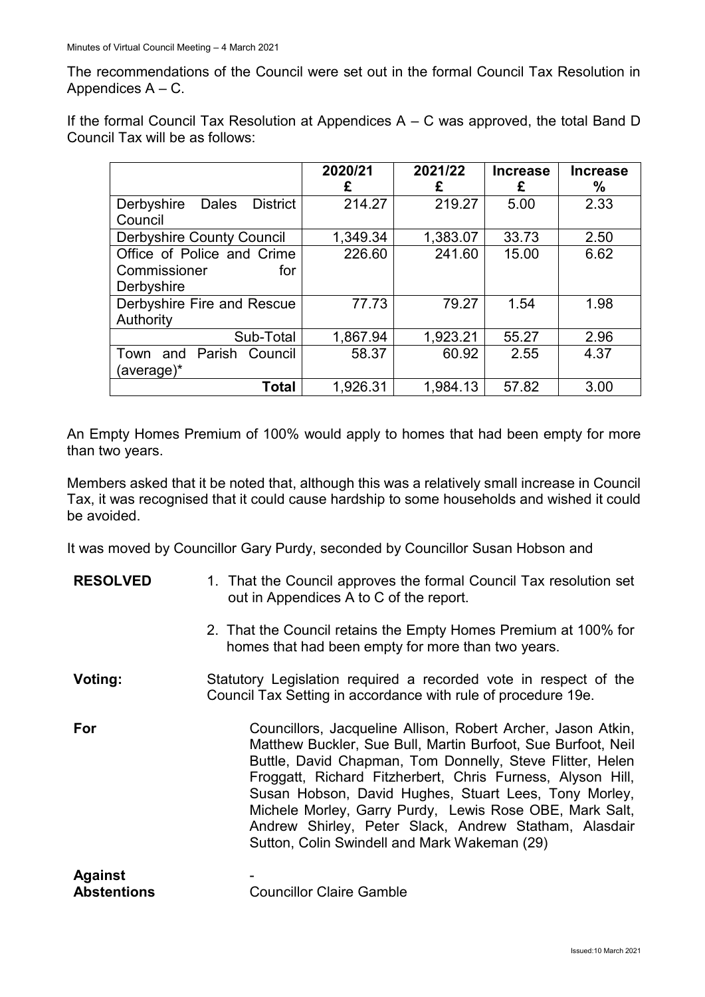The recommendations of the Council were set out in the formal Council Tax Resolution in Appendices  $A - C$ .

If the formal Council Tax Resolution at Appendices  $A - C$  was approved, the total Band D Council Tax will be as follows:

|                                                                 | 2020/21<br>£ | 2021/22<br>£ | <b>Increase</b><br>£ | <b>Increase</b><br>$\%$ |
|-----------------------------------------------------------------|--------------|--------------|----------------------|-------------------------|
| Derbyshire<br><b>Dales</b><br><b>District</b><br>Council        | 214.27       | 219.27       | 5.00                 | 2.33                    |
| <b>Derbyshire County Council</b>                                | 1,349.34     | 1,383.07     | 33.73                | 2.50                    |
| Office of Police and Crime<br>Commissioner<br>for<br>Derbyshire | 226.60       | 241.60       | 15.00                | 6.62                    |
| Derbyshire Fire and Rescue<br>Authority                         | 77.73        | 79.27        | 1.54                 | 1.98                    |
| Sub-Total                                                       | 1,867.94     | 1,923.21     | 55.27                | 2.96                    |
| and Parish Council<br>Town<br>(average)*                        | 58.37        | 60.92        | 2.55                 | 4.37                    |
| Total                                                           | 1,926.31     | 1,984.13     | 57.82                | 3.00                    |

An Empty Homes Premium of 100% would apply to homes that had been empty for more than two years.

Members asked that it be noted that, although this was a relatively small increase in Council Tax, it was recognised that it could cause hardship to some households and wished it could be avoided.

It was moved by Councillor Gary Purdy, seconded by Councillor Susan Hobson and

| <b>RESOLVED</b>                      | 1. That the Council approves the formal Council Tax resolution set<br>out in Appendices A to C of the report.<br>2. That the Council retains the Empty Homes Premium at 100% for<br>homes that had been empty for more than two years.                                                                                                                                                                                                                                               |
|--------------------------------------|--------------------------------------------------------------------------------------------------------------------------------------------------------------------------------------------------------------------------------------------------------------------------------------------------------------------------------------------------------------------------------------------------------------------------------------------------------------------------------------|
| Voting:                              | Statutory Legislation required a recorded vote in respect of the<br>Council Tax Setting in accordance with rule of procedure 19e.                                                                                                                                                                                                                                                                                                                                                    |
| For                                  | Councillors, Jacqueline Allison, Robert Archer, Jason Atkin,<br>Matthew Buckler, Sue Bull, Martin Burfoot, Sue Burfoot, Neil<br>Buttle, David Chapman, Tom Donnelly, Steve Flitter, Helen<br>Froggatt, Richard Fitzherbert, Chris Furness, Alyson Hill,<br>Susan Hobson, David Hughes, Stuart Lees, Tony Morley,<br>Michele Morley, Garry Purdy, Lewis Rose OBE, Mark Salt,<br>Andrew Shirley, Peter Slack, Andrew Statham, Alasdair<br>Sutton, Colin Swindell and Mark Wakeman (29) |
| <b>Against</b><br><b>Abstentions</b> | <b>Councillor Claire Gamble</b>                                                                                                                                                                                                                                                                                                                                                                                                                                                      |